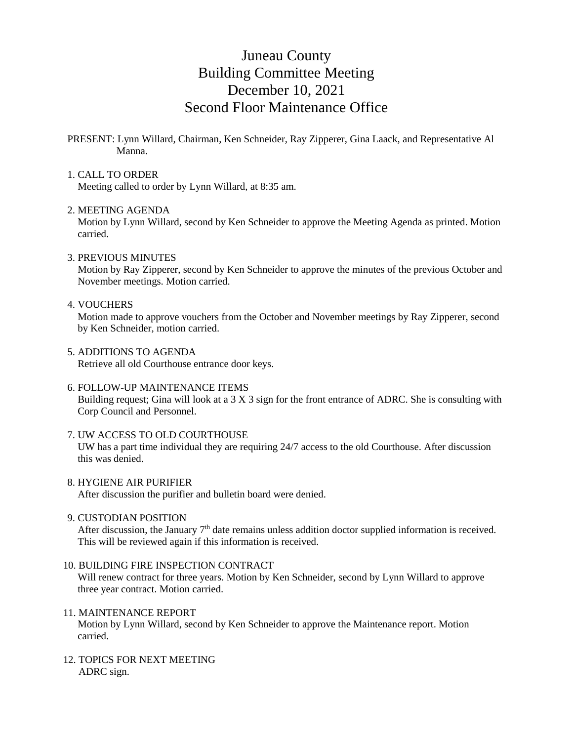# Juneau County Building Committee Meeting December 10, 2021 Second Floor Maintenance Office

PRESENT: Lynn Willard, Chairman, Ken Schneider, Ray Zipperer, Gina Laack, and Representative Al Manna.

#### 1. CALL TO ORDER

Meeting called to order by Lynn Willard, at 8:35 am.

#### 2. MEETING AGENDA

 Motion by Lynn Willard, second by Ken Schneider to approve the Meeting Agenda as printed. Motion carried.

3. PREVIOUS MINUTES

 Motion by Ray Zipperer, second by Ken Schneider to approve the minutes of the previous October and November meetings. Motion carried.

4. VOUCHERS

 Motion made to approve vouchers from the October and November meetings by Ray Zipperer, second by Ken Schneider, motion carried.

5. ADDITIONS TO AGENDA

Retrieve all old Courthouse entrance door keys.

- 6. FOLLOW-UP MAINTENANCE ITEMS Building request; Gina will look at a 3 X 3 sign for the front entrance of ADRC. She is consulting with Corp Council and Personnel.
- 7. UW ACCESS TO OLD COURTHOUSE UW has a part time individual they are requiring 24/7 access to the old Courthouse. After discussion this was denied.
- 8. HYGIENE AIR PURIFIER After discussion the purifier and bulletin board were denied.
- 9. CUSTODIAN POSITION

After discussion, the January  $7<sup>th</sup>$  date remains unless addition doctor supplied information is received. This will be reviewed again if this information is received.

10. BUILDING FIRE INSPECTION CONTRACT

 Will renew contract for three years. Motion by Ken Schneider, second by Lynn Willard to approve three year contract. Motion carried.

11. MAINTENANCE REPORT

 Motion by Lynn Willard, second by Ken Schneider to approve the Maintenance report. Motion carried.

12. TOPICS FOR NEXT MEETING ADRC sign.